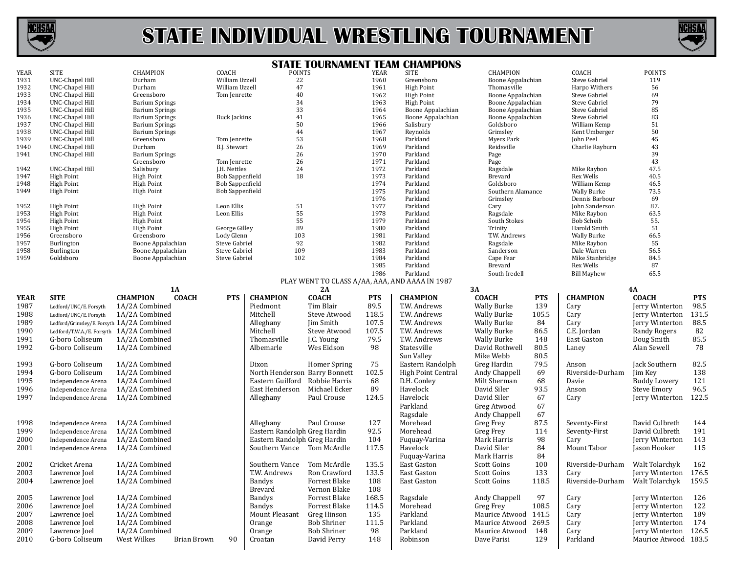

## **STATE INDIVIDUAL WRESTLING TOURNAMENT**



## **STATE TOURNAMENT TEAM CHAMPIONS**

| YEAR        | <b>SITE</b>                                | CHAMPION                          | <b>COACH</b>           | <b>PUINTS</b>                 |                      | YEAK       | <b>SLLF</b>                                    | <b>CHAMPION</b>    |            | <b>COACH</b>         | <b>POINTS</b>         |            |
|-------------|--------------------------------------------|-----------------------------------|------------------------|-------------------------------|----------------------|------------|------------------------------------------------|--------------------|------------|----------------------|-----------------------|------------|
| 1931        | UNC-Chapel Hill                            | Durham                            | William Uzzell         | 22                            |                      | 1960       | Greensboro                                     | Boone Appalachian  |            | Steve Gabriel        | 119                   |            |
| 1932        | <b>UNC-Chapel Hill</b>                     | Durham                            | William Uzzell         | 47                            |                      | 1961       | <b>High Point</b>                              | Thomasville        |            | Harpo Withers        | 56                    |            |
| 1933        | <b>UNC-Chapel Hill</b>                     | Greensboro                        | Tom Jenrette           | 40                            |                      | 1962       | <b>High Point</b>                              | Boone Appalachian  |            | Steve Gabriel        | 69                    |            |
|             |                                            |                                   |                        |                               |                      |            |                                                |                    |            |                      |                       |            |
| 1934        | <b>UNC-Chapel Hill</b>                     | <b>Barium Springs</b>             |                        | 34                            |                      | 1963       | <b>High Point</b>                              | Boone Appalachian  |            | Steve Gabriel        | 79                    |            |
| 1935        | <b>UNC-Chapel Hill</b>                     | <b>Barium Springs</b>             |                        | 33                            |                      | 1964       | Boone Appalachian                              | Boone Appalachian  |            | <b>Steve Gabriel</b> | 85                    |            |
| 1936        | UNC-Chapel Hill                            | <b>Barium Springs</b>             | <b>Buck Jackins</b>    | 41                            |                      | 1965       | Boone Appalachian                              | Boone Appalachian  |            | Steve Gabriel        | 83                    |            |
| 1937        | UNC-Chapel Hill                            | <b>Barium Springs</b>             |                        | 50                            |                      | 1966       | Salisbury                                      | Goldsboro          |            | William Kemp         | 51                    |            |
| 1938        | <b>UNC-Chapel Hill</b>                     | <b>Barium Springs</b>             |                        | 44                            |                      | 1967       | Reynolds                                       | Grimsley           |            | Kent Umberger        | 50                    |            |
| 1939        | UNC-Chapel Hill                            | Greensboro                        | Tom Jenrette           | 53                            |                      | 1968       | Parkland                                       | Myers Park         |            | John Peel            | 45                    |            |
|             |                                            |                                   |                        |                               |                      |            |                                                |                    |            |                      |                       |            |
| 1940        | <b>UNC-Chapel Hill</b>                     | Durham                            | B.J. Stewart           | 26                            |                      | 1969       | Parkland                                       | Reidsville         |            | Charlie Rayburn      | 43                    |            |
| 1941        | <b>UNC-Chapel Hill</b>                     | <b>Barium Springs</b>             |                        | 26                            |                      | 1970       | Parkland                                       | Page               |            |                      | 39                    |            |
|             |                                            | Greensboro                        | Tom Jenrette           | 26                            |                      | 1971       | Parkland                                       | Page               |            |                      | 43                    |            |
| 1942        | UNC-Chapel Hill                            | Salisbury                         | J.H. Nettles           | 24                            |                      | 1972       | Parkland                                       | Ragsdale           |            | Mike Raybon          | 47.5                  |            |
| 1947        | <b>High Point</b>                          | <b>High Point</b>                 | <b>Bob Sappenfield</b> | 18                            |                      | 1973       | Parkland                                       | Brevard            |            | <b>Rex Wells</b>     | 40.5                  |            |
|             |                                            |                                   |                        |                               |                      | 1974       |                                                | Goldsboro          |            |                      | 46.5                  |            |
| 1948        | <b>High Point</b>                          | <b>High Point</b>                 | <b>Bob Sappenfield</b> |                               |                      |            | Parkland                                       |                    |            | William Kemp         |                       |            |
| 1949        | <b>High Point</b>                          | <b>High Point</b>                 | <b>Bob Sappenfield</b> |                               |                      | 1975       | Parkland                                       | Southern Alamance  |            | <b>Wally Burke</b>   | 73.5                  |            |
|             |                                            |                                   |                        |                               |                      | 1976       | Parkland                                       | Grimsley           |            | Dennis Barbour       | 69                    |            |
| 1952        | <b>High Point</b>                          | <b>High Point</b>                 | Leon Ellis             | 51                            |                      | 1977       | Parkland                                       | Cary               |            | John Sanderson       | 87.                   |            |
| 1953        | <b>High Point</b>                          | <b>High Point</b>                 | Leon Ellis             | 55                            |                      | 1978       | Parkland                                       | Ragsdale           |            | Mike Raybon          | 63.5                  |            |
|             |                                            |                                   |                        | 55                            |                      | 1979       |                                                |                    |            |                      | 55.                   |            |
| 1954        | <b>High Point</b>                          | <b>High Point</b>                 |                        |                               |                      |            | Parkland                                       | South Stokes       |            | <b>Bob Scheib</b>    |                       |            |
| 1955        | <b>High Point</b>                          | <b>High Point</b>                 | George Gilley          | 89                            |                      | 1980       | Parkland                                       | Trinity            |            | Harold Smith         | 51                    |            |
| 1956        | Greensboro                                 | Greensboro                        | Lody Glenn             | 103                           |                      | 1981       | Parkland                                       | T.W. Andrews       |            | <b>Wally Burke</b>   | 66.5                  |            |
| 1957        | Burlington                                 | Boone Appalachian                 | Steve Gabriel          | 92                            |                      | 1982       | Parkland                                       | Ragsdale           |            | Mike Raybon          | 55                    |            |
| 1958        | Burlington                                 | Boone Appalachian                 | Steve Gabriel          | 109                           |                      | 1983       | Parkland                                       | Sanderson          |            | Dale Warren          | 56.5                  |            |
| 1959        | Goldsboro                                  |                                   | Steve Gabriel          | 102                           |                      | 1984       | Parkland                                       | Cape Fear          |            | Mike Stanbridge      | 84.5                  |            |
|             |                                            | Boone Appalachian                 |                        |                               |                      |            |                                                |                    |            |                      |                       |            |
|             |                                            |                                   |                        |                               |                      | 1985       | Parkland                                       | Brevard            |            | Rex Wells            | 87                    |            |
|             |                                            |                                   |                        |                               |                      | 1986       | Parkland                                       | South Iredell      |            | <b>Bill Mayhew</b>   | 65.5                  |            |
|             |                                            |                                   |                        |                               |                      |            | PLAY WENT TO CLASS A/AA, AAA, AND AAAA IN 1987 |                    |            |                      |                       |            |
|             |                                            | <b>1A</b>                         |                        |                               | 2A                   |            |                                                | 3A                 |            |                      | <b>4A</b>             |            |
|             |                                            |                                   |                        |                               |                      |            |                                                |                    |            |                      |                       |            |
| <b>YEAR</b> | <b>SITE</b>                                | <b>COACH</b><br><b>CHAMPION</b>   | <b>PTS</b>             | <b>CHAMPION</b>               | <b>COACH</b>         | <b>PTS</b> | <b>CHAMPION</b>                                | <b>COACH</b>       | <b>PTS</b> | <b>CHAMPION</b>      | <b>COACH</b>          | <b>PTS</b> |
| 1987        | Ledford/UNC/E. Forsyth                     | 1A/2A Combined                    |                        | Piedmont                      | Tim Blair            | 89.5       | T.W. Andrews                                   | <b>Wally Burke</b> | 139        | Cary                 | Jerry Winterton       | 98.5       |
| 1988        | Ledford/UNC/E. Forsyth                     | 1A/2A Combined                    |                        | Mitchell                      | Steve Atwood         | 118.5      | T.W. Andrews                                   | <b>Wally Burke</b> | 105.5      | Cary                 | Jerry Winterton       | 131.5      |
|             |                                            |                                   |                        |                               |                      |            |                                                |                    |            |                      |                       |            |
| 1989        | Ledford/Grimsley/E. Forsyth 1A/2A Combined |                                   |                        | Alleghany                     | Jim Smith            | 107.5      | T.W. Andrews                                   | <b>Wally Burke</b> | 84         | Cary                 | Jerry Winterton       | 88.5       |
| 1990        | Ledford/T.W.A./E. Forsyth 1A/2A Combined   |                                   |                        | Mitchell                      | Steve Atwood         | 107.5      | T.W. Andrews                                   | <b>Wally Burke</b> | 86.5       | C.E. Jordan          | <b>Randy Rogers</b>   | 82         |
| 1991        | G-boro Coliseum                            | 1A/2A Combined                    |                        | Thomasville                   | J.C. Young           | 79.5       | T.W. Andrews                                   | <b>Wally Burke</b> | 148        | East Gaston          | Doug Smith            | 85.5       |
|             |                                            |                                   |                        |                               |                      |            |                                                |                    |            |                      |                       |            |
| 1992        | G-boro Coliseum                            | 1A/2A Combined                    |                        | Albemarle                     | Wes Eidson           | 98         | Statesville                                    | David Rothwell     | 80.5       | Laney                | Alan Sewell           | 78         |
|             |                                            |                                   |                        |                               |                      |            | Sun Valley                                     | Mike Webb          | 80.5       |                      |                       |            |
| 1993        | G-boro Coliseum                            | 1A/2A Combined                    |                        | Dixon                         | <b>Homer Spring</b>  | 75         | Eastern Randolph                               | Greg Hardin        | 79.5       | Anson                | Jack Southern         | 82.5       |
|             |                                            |                                   |                        |                               |                      |            |                                                |                    |            |                      |                       |            |
| 1994        | G-boro Coliseum                            | 1A/2A Combined                    |                        | North Henderson Barry Bonnett |                      | 102.5      | <b>High Point Central</b>                      | Andy Chappell      | 69         | Riverside-Durham     | Jim Key               | 138        |
| 1995        | Independence Arena                         | 1A/2A Combined                    |                        | Eastern Guilford              | Robbie Harris        | 68         | D.H. Conley                                    | Milt Sherman       | 68         | Davie                | <b>Buddy Lowery</b>   | 121        |
| 1996        | Independence Arena                         | 1A/2A Combined                    |                        | East Henderson                | Michael Ecker        | 89         | Havelock                                       | David Siler        | 93.5       | Anson                | Steve Emory           | 96.5       |
|             |                                            |                                   |                        |                               |                      |            |                                                |                    |            |                      |                       |            |
| 1997        | Independence Arena                         | 1A/2A Combined                    |                        | Alleghany                     | Paul Crouse          | 124.5      | Havelock                                       | David Siler        | 67         | Cary                 | Jerry Winterton 122.5 |            |
|             |                                            |                                   |                        |                               |                      |            | Parkland                                       | Greg Atwood        | 67         |                      |                       |            |
|             |                                            |                                   |                        |                               |                      |            | Ragsdale                                       | Andy Chappell      | 67         |                      |                       |            |
|             |                                            |                                   |                        |                               |                      |            |                                                |                    |            |                      |                       |            |
| 1998        | Independence Arena                         | 1A/2A Combined                    |                        | Alleghany                     | Paul Crouse          | 127        | Morehead                                       | Greg Frey          | 87.5       | Seventy-First        | David Culbreth        | 144        |
| 1999        | Independence Arena                         | 1A/2A Combined                    |                        | Eastern Randolph Greg Hardin  |                      | 92.5       | Morehead                                       | Greg Frey          | 114        | Seventy-First        | David Culbreth        | 191        |
| 2000        | Independence Arena                         | 1A/2A Combined                    |                        | Eastern Randolph Greg Hardin  |                      | 104        | Fuquay-Varina                                  | Mark Harris        | 98         | Cary                 | Jerry Winterton       | 143        |
|             |                                            |                                   |                        |                               |                      |            |                                                |                    |            |                      |                       |            |
| 2001        | Independence Arena                         | 1A/2A Combined                    |                        | Southern Vance Tom McArdle    |                      | 117.5      | Havelock                                       | David Siler        | 84         | Mount Tabor          | Jason Hooker          | 115        |
|             |                                            |                                   |                        |                               |                      |            | Fuquay-Varina                                  | Mark Harris        | 84         |                      |                       |            |
| 2002        | Cricket Arena                              | 1A/2A Combined                    |                        | Southern Vance                | Tom McArdle          | 135.5      | East Gaston                                    | Scott Goins        | 100        | Riverside-Durham     | Walt Tolarchyk        | 162        |
|             |                                            |                                   |                        |                               |                      |            | East Gaston                                    |                    |            |                      |                       |            |
| 2003        | Lawrence Joel                              | 1A/2A Combined                    |                        | T.W. Andrews                  | Ron Crawford         | 133.5      |                                                | Scott Goins        | 133        | Carv                 | Jerry Winterton       | 176.5      |
| 2004        | Lawrence Joel                              | 1A/2A Combined                    |                        | <b>Bandys</b>                 | Forrest Blake        | 108        | East Gaston                                    | Scott Goins        | 118.5      | Riverside-Durham     | Walt Tolarchyk        | 159.5      |
|             |                                            |                                   |                        | <b>Brevard</b>                | Vernon Blake         | 108        |                                                |                    |            |                      |                       |            |
|             |                                            |                                   |                        |                               |                      |            |                                                |                    |            |                      |                       |            |
| 2005        | Lawrence Joel                              | 1A/2A Combined                    |                        | <b>Bandys</b>                 | Forrest Blake        | 168.5      | Ragsdale                                       | Andy Chappell      | 97         | Cary                 | Jerry Winterton       | 126        |
| 2006        | Lawrence Joel                              | 1A/2A Combined                    |                        | <b>Bandys</b>                 | <b>Forrest Blake</b> | 114.5      | Morehead                                       | <b>Greg Frey</b>   | 108.5      | Cary                 | Jerry Winterton       | 122        |
| 2007        | Lawrence Joel                              | 1A/2A Combined                    |                        | Mount Pleasant                | Greg Hinson          | 135        | Parkland                                       | Maurice Atwood     | 141.5      | Cary                 | Jerry Winterton       | 189        |
|             |                                            |                                   |                        |                               |                      |            |                                                |                    |            |                      |                       |            |
| 2008        | Lawrence Joel                              | 1A/2A Combined                    |                        | Orange                        | <b>Bob Shriner</b>   | 111.5      | Parkland                                       | Maurice Atwood     | 269.5      | Cary                 | Jerry Winterton       | 174        |
| 2009        | Lawrence Joel                              | 1A/2A Combined                    |                        | Orange                        | <b>Bob Shriner</b>   | 98         | Parkland                                       | Maurice Atwood     | 148        | Cary                 | Jerry Winterton 126.5 |            |
| 2010        | G-boro Coliseum                            | West Wilkes<br><b>Brian Brown</b> | 90                     | Croatan                       | David Perry          | 148        | Robinson                                       | Dave Parisi        | 129        | Parkland             | Maurice Atwood 183.5  |            |
|             |                                            |                                   |                        |                               |                      |            |                                                |                    |            |                      |                       |            |
|             |                                            |                                   |                        |                               |                      |            |                                                |                    |            |                      |                       |            |